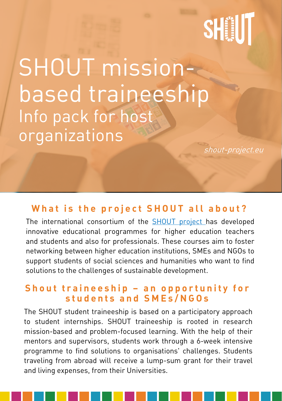# SHIIT

SHOUT missionbased traineeship Info pack for host organizations

[shout-project.eu](https://shout-project.eu/)

## **What is the proiect SHOUT all about?**

The international consortium of the [SHOUT](https://shout-project.eu/) project has developed innovative educational programmes for higher education teachers and students and also for professionals. These courses aim to foster networking between higher education institutions, SMEs and NGOs to support students of social sciences and humanities who want to find solutions to the challenges of sustainable development.

#### **Shout traineeship - an opportunity for s t u d e n t s a n d S M E s / N G O s**

The SHOUT student traineeship is based on a participatory approach to student internships. SHOUT traineeship is rooted in research mission-based and problem-focused learning. With the help of their mentors and supervisors, students work through a 6-week intensive programme to find solutions to organisations' challenges. Students traveling from abroad will receive a lump-sum grant for their travel and living expenses, from their Universities.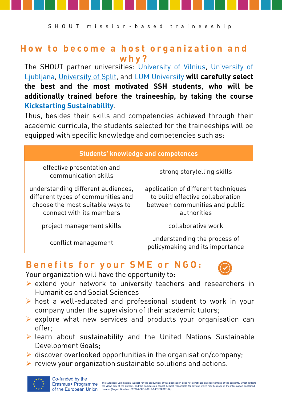#### **How to become a host organization and w h y ?**

The SHOUT partner [universities:](https://www.teof.uni-lj.si/?lang=en) [University](https://www.fsf.vu.lt/en/) of Vilnius, University of Ljubljana, [University](https://www.ffst.unist.hr/en) of Split, and LUM [University](https://www.lum.it/en/) **will carefully select the best and the most motivated SSH students, who will be additionally trained before the traineeship, by taking the course Kickstarting [Sustainability](https://shout-hub.eu/courses/?cat=students)**.

Thus, besides their skills and competencies achieved through their academic curricula, the students selected for the traineeships will be equipped with specific knowledge and competencies such as:

| <b>Students' knowledge and competences</b>                                                                                               |                                                                                                                          |  |  |
|------------------------------------------------------------------------------------------------------------------------------------------|--------------------------------------------------------------------------------------------------------------------------|--|--|
| effective presentation and<br>communication skills                                                                                       | strong storytelling skills                                                                                               |  |  |
| understanding different audiences,<br>different types of communities and<br>choose the most suitable ways to<br>connect with its members | application of different techniques<br>to build effective collaboration<br>between communities and public<br>authorities |  |  |
| project management skills                                                                                                                | collaborative work                                                                                                       |  |  |
| conflict management                                                                                                                      | understanding the process of<br>policymaking and its importance                                                          |  |  |

#### **B e n e f i t s f o r y o u r S M E o r N G O :**





Your organization will have the opportunity to:

- ➢ extend your network to university teachers and researchers in Humanities and Social Sciences
- ➢ host a well-educated and professional student to work in your company under the supervision of their academic tutors;
- ➢ explore what new services and products your organisation can offer;
- ➢ learn about sustainability and the United Nations Sustainable Development Goals;
- $\triangleright$  discover overlooked opportunities in the organisation/company;
- ➢ review your organization sustainable solutions and actions.

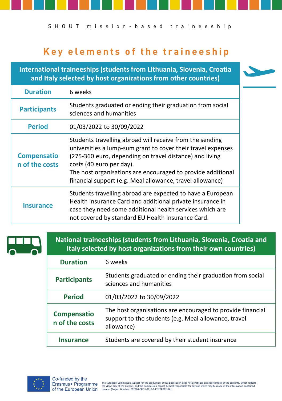S H O U T m is s i o n - b a s e d traine e s h i p

## **Key elements of the traineeship**

**International traineeships (students from Lithuania, Slovenia, Croatia and Italy selected by host organizations from other countries)**

| <b>Duration</b>                      | 6 weeks                                                                                                                                                                                                                                                                                                                                     |
|--------------------------------------|---------------------------------------------------------------------------------------------------------------------------------------------------------------------------------------------------------------------------------------------------------------------------------------------------------------------------------------------|
| <b>Participants</b>                  | Students graduated or ending their graduation from social<br>sciences and humanities                                                                                                                                                                                                                                                        |
| <b>Period</b>                        | 01/03/2022 to 30/09/2022                                                                                                                                                                                                                                                                                                                    |
| <b>Compensatio</b><br>n of the costs | Students travelling abroad will receive from the sending<br>universities a lump-sum grant to cover their travel expenses<br>(275-360 euro, depending on travel distance) and living<br>costs (40 euro per day).<br>The host organisations are encouraged to provide additional<br>financial support (e.g. Meal allowance, travel allowance) |
| Insurance                            | Students travelling abroad are expected to have a European<br>Health Insurance Card and additional private insurance in<br>case they need some additional health services which are<br>not covered by standard EU Health Insurance Card.                                                                                                    |



**National traineeships (students from Lithuania, Slovenia, Croatia and Italy selected by host organizations from their own countries)**

| <b>Duration</b>                      | 6 weeks                                                                                                                          |
|--------------------------------------|----------------------------------------------------------------------------------------------------------------------------------|
| <b>Participants</b>                  | Students graduated or ending their graduation from social<br>sciences and humanities                                             |
| <b>Period</b>                        | 01/03/2022 to 30/09/2022                                                                                                         |
| <b>Compensatio</b><br>n of the costs | The host organisations are encouraged to provide financial<br>support to the students (e.g. Meal allowance, travel<br>allowance) |
| Insurance                            | Students are covered by their student insurance                                                                                  |

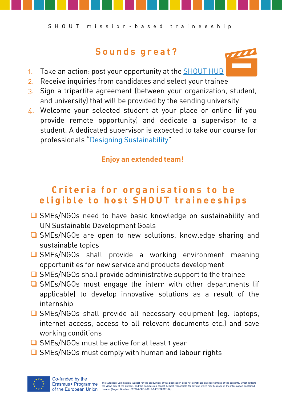### **S o u n d s g r e a t ?**

- 1. Take an action: post your opportunity at the **[SHOUT](https://www.cognitoforms.com/TJBruder/SHOUTHubSubmitOpportunities) HUB**
- 2. Receive inquiries from candidates and select your trainee
- 3. Sign a tripartite agreement (between your organization, student, and university) that will be provided by the sending university
- 4. Welcome your selected student at your place or online (if you provide remote opportunity) and dedicate a supervisor to a student. A dedicated supervisor is expected to take our course for professionals "Designing [Sustainability](https://shout-hub.eu/courses/?cat=professionals)"

#### **Enjoy an extended team!**

## **Criteria for organisations to be eligible to host SHOUT traineeships**

- SMEs/NGOs need to have basic knowledge on sustainability and UN Sustainable Development Goals
- ❑ SMEs/NGOs are open to new solutions, knowledge sharing and sustainable topics
- ❑ SMEs/NGOs shall provide a working environment meaning opportunities for new service and products development
- ❑ SMEs/NGOs shall provide administrative support to the trainee
- ❑ SMEs/NGOs must engage the intern with other departments (if applicable) to develop innovative solutions as a result of the internship
- ❑ SMEs/NGOs shall provide all necessary equipment (eg. laptops, internet access, access to all relevant documents etc.) and save working conditions
- ❑ SMEs/NGOs must be active for at least 1 year
- ❑ SMEs/NGOs must comply with human and labour rights

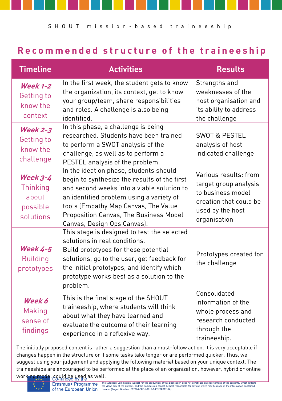#### **Recommended structure of the traineeship**

| <b>Timeline</b>                                               | <b>Activities</b>                                                                                                                                                                                                                                                                                 | <b>Results</b>                                                                                                                    |
|---------------------------------------------------------------|---------------------------------------------------------------------------------------------------------------------------------------------------------------------------------------------------------------------------------------------------------------------------------------------------|-----------------------------------------------------------------------------------------------------------------------------------|
| <b>Week 1-2</b><br>Getting to<br>know the<br>context          | In the first week, the student gets to know<br>the organization, its context, get to know<br>your group/team, share responsibilities<br>and roles. A challenge is also being<br>identified.                                                                                                       | Strengths and<br>weaknesses of the<br>host organisation and<br>its ability to address<br>the challenge                            |
| <b>Week 2-3</b><br>Getting to<br>know the<br>challenge        | In this phase, a challenge is being<br>researched. Students have been trained<br>to perform a SWOT analysis of the<br>challenge, as well as to perform a<br>PESTEL analysis of the problem.                                                                                                       | <b>SWOT &amp; PESTEL</b><br>analysis of host<br>indicated challenge                                                               |
| <b>Week 3-4</b><br>Thinking<br>about<br>possible<br>solutions | In the ideation phase, students should<br>begin to synthesize the results of the first<br>and second weeks into a viable solution to<br>an identified problem using a variety of<br>tools (Empathy Map Canvas, The Value<br>Proposition Canvas, The Business Model<br>Canvas, Design Ops Canvas). | Various results: from<br>target group analysis<br>to business model<br>creation that could be<br>used by the host<br>organisation |
| <b>Week 4-5</b><br><b>Building</b><br>prototypes              | This stage is designed to test the selected<br>solutions in real conditions.<br>Build prototypes for these potential<br>solutions, go to the user, get feedback for<br>the initial prototypes, and identify which<br>prototype works best as a solution to the<br>problem.                        | Prototypes created for<br>the challenge                                                                                           |
| Week 6<br>Making<br>sense of<br>findings                      | This is the final stage of the SHOUT<br>traineeship, where students will think<br>about what they have learned and<br>evaluate the outcome of their learning<br>experience in a reflexive way.                                                                                                    | Consolidated<br>information of the<br>whole process and<br>research conducted<br>through the<br>traineeship.                      |

The initially proposed content is rather a suggestion than a must-follow action. It is very acceptable if changes happen in the structure or if some tasks take longer or are performed quicker. Thus, we suggest using your judgement and applying the following material based on your unique context. The traineeships are encouraged to be performed at the place of an organization, however, hybrid or online working model could be used as well.